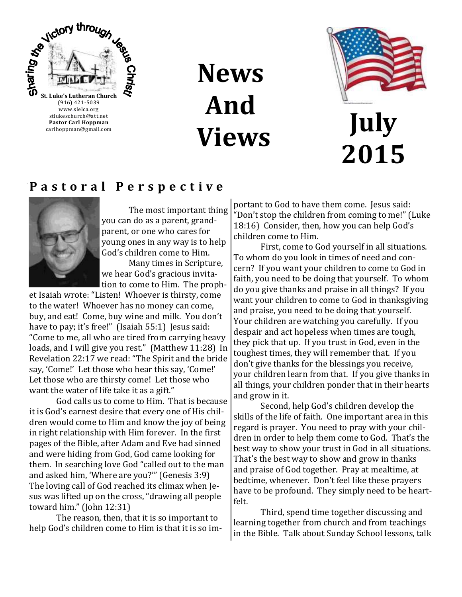

## **News And Views**



## **July 2015**

#### **P a s t o r a l P e r s p e c t i v e**



The most important thing you can do as a parent, grandparent, or one who cares for young ones in any way is to help God's children come to Him.

Many times in Scripture, we hear God's gracious invitation to come to Him. The proph-

et Isaiah wrote: "Listen! Whoever is thirsty, come to the water! Whoever has no money can come, buy, and eat! Come, buy wine and milk. You don't have to pay; it's free!" (Isaiah 55:1) Jesus said: "Come to me, all who are tired from carrying heavy loads, and I will give you rest." (Matthew 11:28) In Revelation 22:17 we read: "The Spirit and the bride say, 'Come!' Let those who hear this say, 'Come!' Let those who are thirsty come! Let those who want the water of life take it as a gift."

God calls us to come to Him. That is because it is God's earnest desire that every one of His children would come to Him and know the joy of being in right relationship with Him forever. In the first pages of the Bible, after Adam and Eve had sinned and were hiding from God, God came looking for them. In searching love God "called out to the man and asked him, 'Where are you?'" (Genesis 3:9) The loving call of God reached its climax when Jesus was lifted up on the cross, "drawing all people toward him." (John 12:31)

The reason, then, that it is so important to help God's children come to Him is that it is so important to God to have them come. Jesus said: "Don't stop the children from coming to me!" (Luke 18:16) Consider, then, how you can help God's children come to Him.

First, come to God yourself in all situations. To whom do you look in times of need and concern? If you want your children to come to God in faith, you need to be doing that yourself. To whom do you give thanks and praise in all things? If you want your children to come to God in thanksgiving and praise, you need to be doing that yourself. Your children are watching you carefully. If you despair and act hopeless when times are tough, they pick that up. If you trust in God, even in the toughest times, they will remember that. If you don't give thanks for the blessings you receive, your children learn from that. If you give thanks in all things, your children ponder that in their hearts and grow in it.

Second, help God's children develop the skills of the life of faith. One important area in this regard is prayer. You need to pray with your children in order to help them come to God. That's the best way to show your trust in God in all situations. That's the best way to show and grow in thanks and praise of God together. Pray at mealtime, at bedtime, whenever. Don't feel like these prayers have to be profound. They simply need to be heartfelt.

Third, spend time together discussing and learning together from church and from teachings in the Bible. Talk about Sunday School lessons, talk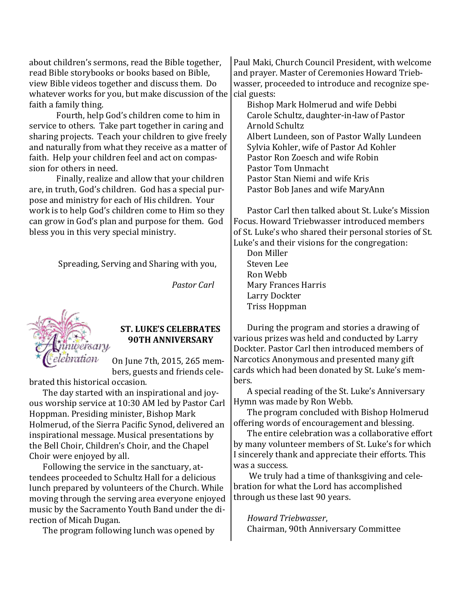about children's sermons, read the Bible together, read Bible storybooks or books based on Bible, view Bible videos together and discuss them. Do whatever works for you, but make discussion of the faith a family thing. and prayer. Master of Ceremonies Howard Triebwasser, proceeded to introduce and recognize special guests: Bishop Mark Holmerud and wife Debbi

Fourth, help God's children come to him in service to others. Take part together in caring and sharing projects. Teach your children to give freely and naturally from what they receive as a matter of faith. Help your children feel and act on compassion for others in need.

Finally, realize and allow that your children are, in truth, God's children. God has a special purpose and ministry for each of His children. Your work is to help God's children come to Him so they can grow in God's plan and purpose for them. God bless you in this very special ministry.

Spreading, Serving and Sharing with you,

*Pastor Carl*



#### **ST. LUKE'S CELEBRATES 90TH ANNIVERSARY**

On June 7th, 2015, 265 members, guests and friends cele-

brated this historical occasion.

The day started with an inspirational and joyous worship service at 10:30 AM led by Pastor Carl Hoppman. Presiding minister, Bishop Mark Holmerud, of the Sierra Pacific Synod, delivered an inspirational message. Musical presentations by the Bell Choir, Children's Choir, and the Chapel Choir were enjoyed by all.

Following the service in the sanctuary, attendees proceeded to Schultz Hall for a delicious lunch prepared by volunteers of the Church. While moving through the serving area everyone enjoyed music by the Sacramento Youth Band under the direction of Micah Dugan.

The program following lunch was opened by

Paul Maki, Church Council President, with welcome

Carole Schultz, daughter-in-law of Pastor Arnold Schultz Albert Lundeen, son of Pastor Wally Lundeen Sylvia Kohler, wife of Pastor Ad Kohler Pastor Ron Zoesch and wife Robin Pastor Tom Unmacht Pastor Stan Niemi and wife Kris Pastor Bob Janes and wife MaryAnn

Pastor Carl then talked about St. Luke's Mission Focus. Howard Triebwasser introduced members of St. Luke's who shared their personal stories of St. Luke's and their visions for the congregation:

Don Miller Steven Lee Ron Webb Mary Frances Harris Larry Dockter Triss Hoppman

During the program and stories a drawing of various prizes was held and conducted by Larry Dockter. Pastor Carl then introduced members of Narcotics Anonymous and presented many gift cards which had been donated by St. Luke's members.

A special reading of the St. Luke's Anniversary Hymn was made by Ron Webb.

The program concluded with Bishop Holmerud offering words of encouragement and blessing.

The entire celebration was a collaborative effort by many volunteer members of St. Luke's for which I sincerely thank and appreciate their efforts. This was a success.

We truly had a time of thanksgiving and celebration for what the Lord has accomplished through us these last 90 years.

*Howard Triebwasser*, Chairman, 90th Anniversary Committee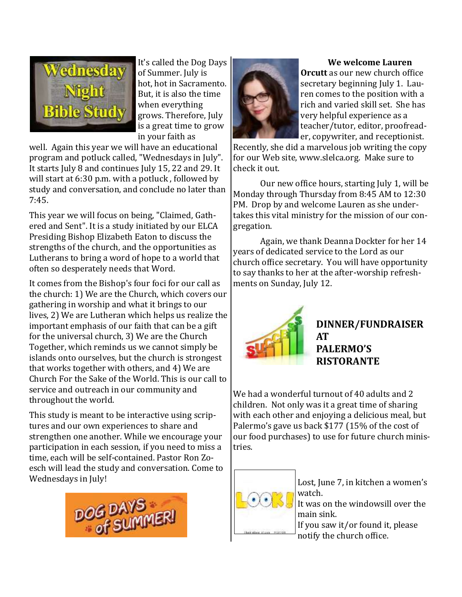

It's called the Dog Days of Summer. July is hot, hot in Sacramento. But, it is also the time when everything grows. Therefore, July is a great time to grow in your faith as

well. Again this year we will have an educational program and potluck called, "Wednesdays in July". It starts July 8 and continues July 15, 22 and 29. It will start at 6:30 p.m. with a potluck , followed by study and conversation, and conclude no later than 7:45.

This year we will focus on being, "Claimed, Gathered and Sent". It is a study initiated by our ELCA Presiding Bishop Elizabeth Eaton to discuss the strengths of the church, and the opportunities as Lutherans to bring a word of hope to a world that often so desperately needs that Word.

It comes from the Bishop's four foci for our call as the church: 1) We are the Church, which covers our gathering in worship and what it brings to our lives, 2) We are Lutheran which helps us realize the important emphasis of our faith that can be a gift for the universal church, 3) We are the Church Together, which reminds us we cannot simply be islands onto ourselves, but the church is strongest that works together with others, and 4) We are Church For the Sake of the World. This is our call to service and outreach in our community and throughout the world.

This study is meant to be interactive using scriptures and our own experiences to share and strengthen one another. While we encourage your participation in each session, if you need to miss a time, each will be self-contained. Pastor Ron Zoesch will lead the study and conversation. Come to Wednesdays in July!





#### **We welcome Lauren**

**Orcutt** as our new church office secretary beginning July 1. Lauren comes to the position with a rich and varied skill set. She has very helpful experience as a teacher/tutor, editor, proofreader, copywriter, and receptionist.

Recently, she did a marvelous job writing the copy for our Web site, www.slelca.org. Make sure to check it out.

Our new office hours, starting July 1, will be Monday through Thursday from 8:45 AM to 12:30 PM. Drop by and welcome Lauren as she undertakes this vital ministry for the mission of our congregation.

Again, we thank Deanna Dockter for her 14 years of dedicated service to the Lord as our church office secretary. You will have opportunity to say thanks to her at the after-worship refreshments on Sunday, July 12.



#### **DINNER/FUNDRAISER AT PALERMO'S RISTORANTE**

We had a wonderful turnout of 40 adults and 2 children. Not only was it a great time of sharing with each other and enjoying a delicious meal, but Palermo's gave us back \$177 (15% of the cost of our food purchases) to use for future church ministries.



Lost, June 7, in kitchen a women's watch.

It was on the windowsill over the main sink.

If you saw it/or found it, please notify the church office.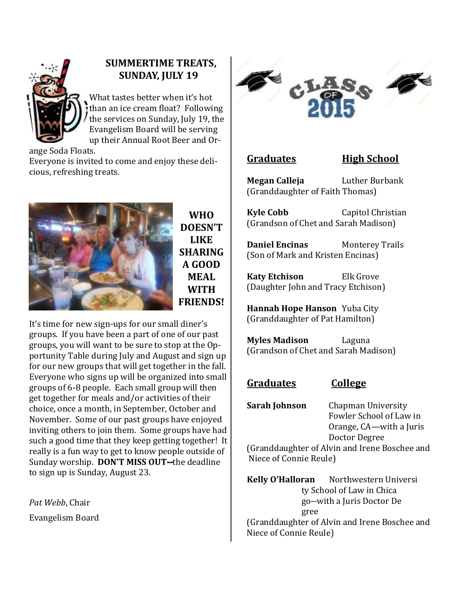

#### **SUMMERTIME TREATS, SUNDAY, JULY 19**

What tastes better when it's hot than an ice cream float? Following the services on Sunday, July 19, the Evangelism Board will be serving up their Annual Root Beer and Or-

ange Soda Floats.

Everyone is invited to come and enjoy these delicious, refreshing treats.



**WHO DOESN'T LIKE SHARING A GOOD MEAL WITH FRIENDS!**

It's time for new sign-ups for our small diner's groups. If you have been a part of one of our past groups, you will want to be sure to stop at the Opportunity Table during July and August and sign up for our new groups that will get together in the fall. Everyone who signs up will be organized into small groups of 6-8 people. Each small group will then get together for meals and/or activities of their choice, once a month, in September, October and November. Some of our past groups have enjoyed inviting others to join them. Some groups have had such a good time that they keep getting together! It really is a fun way to get to know people outside of Sunday worship. **DON'T MISS OUT--**the deadline to sign up is Sunday, August 23.

*Pat Webb*, Chair Evangelism Board



#### **Graduates High School**

**Megan Calleja** Luther Burbank (Granddaughter of Faith Thomas)

**Kyle Cobb** Capitol Christian (Grandson of Chet and Sarah Madison)

**Daniel Encinas** Monterey Trails (Son of Mark and Kristen Encinas)

**Katy Etchison** Elk Grove (Daughter John and Tracy Etchison)

**Hannah Hope Hanson** Yuba City (Granddaughter of Pat Hamilton)

**Myles Madison** Laguna (Grandson of Chet and Sarah Madison)

#### **Graduates College**

**Sarah Johnson** Chapman University Fowler School of Law in Orange, CA—with a Juris Doctor Degree

(Granddaughter of Alvin and Irene Boschee and Niece of Connie Reule)

**Kelly O'Halloran** Northwestern Universi ty School of Law in Chica go--with a Juris Doctor De gree (Granddaughter of Alvin and Irene Boschee and Niece of Connie Reule)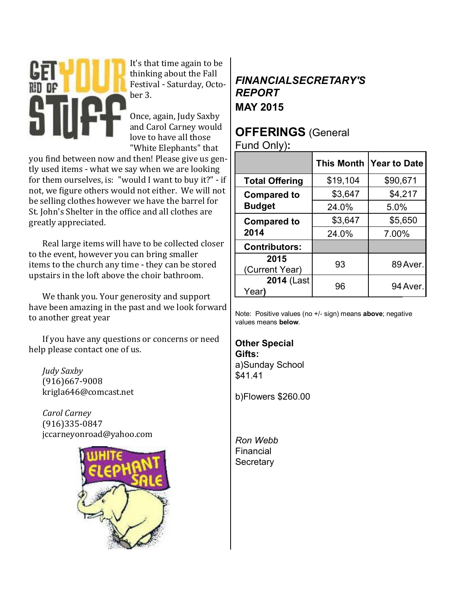

It's that time again to be thinking about the Fall Festival - Saturday, October 3.

Once, again, Judy Saxby and Carol Carney would love to have all those "White Elephants" that

you find between now and then! Please give us gently used items - what we say when we are looking for them ourselves, is: "would I want to buy it?" - if not, we figure others would not either. We will not be selling clothes however we have the barrel for St. John's Shelter in the office and all clothes are greatly appreciated.

Real large items will have to be collected closer to the event, however you can bring smaller items to the church any time - they can be stored upstairs in the loft above the choir bathroom.

We thank you. Your generosity and support have been amazing in the past and we look forward to another great year

If you have any questions or concerns or need help please contact one of us.

*Judy Saxby*  (916)667-9008 krigla646@comcast.net

*Carol Carney*  (916)335-0847 jccarneyonroad@yahoo.com



#### *FINANCIALSECRETARY'S REPORT* **MAY 2015**

### **OFFERINGS** (General

Fund Only)**:**

|                            | <b>This Month</b> | Year to Date |  |
|----------------------------|-------------------|--------------|--|
| <b>Total Offering</b>      | \$19,104          | \$90,671     |  |
| <b>Compared to</b>         | \$3,647           | \$4,217      |  |
| <b>Budget</b>              | 24.0%             | 5.0%         |  |
| <b>Compared to</b>         | \$3,647           | \$5,650      |  |
| 2014                       | 24.0%             | 7.00%        |  |
| <b>Contributors:</b>       |                   |              |  |
| 2015<br>(Current Year)     | 93                | 89 Aver.     |  |
| <b>2014 (Last</b><br>Year) | 96                | 94 Aver.     |  |

Note: Positive values (no +/- sign) means **above**; negative values means **below**.

**Other Special Gifts:** a)Sunday School \$41.41

b)Flowers \$260.00

*Ron Webb* Financial **Secretary**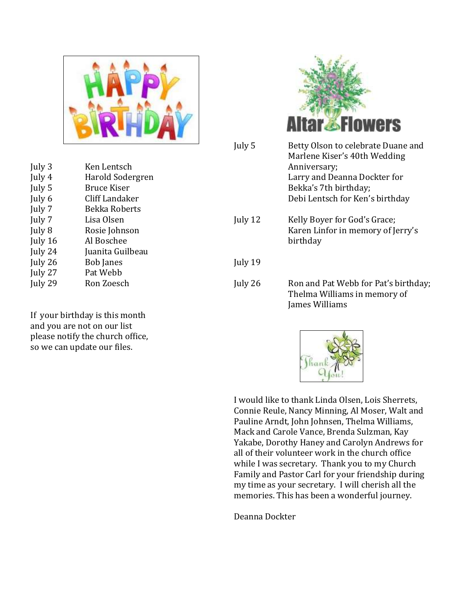

July 3 Ken Lentsch July 4 Harold Sodergren July 5 Bruce Kiser July 6 Cliff Landaker July 7 Bekka Roberts July 7 Lisa Olsen July 8 Rosie Johnson July 16 Al Boschee July 24 Juanita Guilbeau July 26 Bob Janes July 27 Pat Webb July 29 Ron Zoesch

If your birthday is this month and you are not on our list please notify the church office, so we can update our files.



| July 5  | Betty Olson to celebrate Duane and<br>Marlene Kiser's 40th Wedding<br>Anniversary;<br>Larry and Deanna Dockter for<br>Bekka's 7th birthday;<br>Debi Lentsch for Ken's birthday |
|---------|--------------------------------------------------------------------------------------------------------------------------------------------------------------------------------|
| July 12 | Kelly Boyer for God's Grace;<br>Karen Linfor in memory of Jerry's<br>birthday                                                                                                  |
| July 19 |                                                                                                                                                                                |
| July 26 | Ron and Pat Webb for Pat's birthday;<br>Thelma Williams in memory of<br>James Williams                                                                                         |



I would like to thank Linda Olsen, Lois Sherrets, Connie Reule, Nancy Minning, Al Moser, Walt and Pauline Arndt, John Johnsen, Thelma Williams, Mack and Carole Vance, Brenda Sulzman, Kay Yakabe, Dorothy Haney and Carolyn Andrews for all of their volunteer work in the church office while I was secretary. Thank you to my Church Family and Pastor Carl for your friendship during my time as your secretary. I will cherish all the memories. This has been a wonderful journey.

Deanna Dockter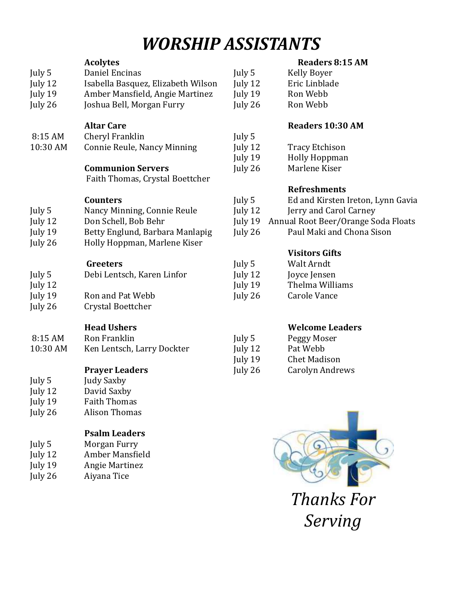## *WORSHIP ASSISTANTS*

|          | <b>Acolytes</b>                    |         | <b>Readers 8:15 AM</b>              |
|----------|------------------------------------|---------|-------------------------------------|
| July 5   | Daniel Encinas                     | July 5  | <b>Kelly Boyer</b>                  |
| July 12  | Isabella Basquez, Elizabeth Wilson | July 12 | Eric Linblade                       |
| July 19  | Amber Mansfield, Angie Martinez    | July 19 | Ron Webb                            |
| July 26  | Joshua Bell, Morgan Furry          | July 26 | Ron Webb                            |
|          |                                    |         |                                     |
|          | <b>Altar Care</b>                  |         | Readers 10:30 AM                    |
| 8:15 AM  | Cheryl Franklin                    | July 5  |                                     |
| 10:30 AM | Connie Reule, Nancy Minning        | July 12 | <b>Tracy Etchison</b>               |
|          |                                    | July 19 | <b>Holly Hoppman</b>                |
|          | <b>Communion Servers</b>           | July 26 | Marlene Kiser                       |
|          | Faith Thomas, Crystal Boettcher    |         |                                     |
|          |                                    |         | <b>Refreshments</b>                 |
|          | <b>Counters</b>                    | July 5  | Ed and Kirsten Ireton, Lynn Gavia   |
| July 5   | Nancy Minning, Connie Reule        | July 12 | Jerry and Carol Carney              |
| July 12  | Don Schell, Bob Behr               | July 19 | Annual Root Beer/Orange Soda Floats |
| July 19  | Betty Englund, Barbara Manlapig    | July 26 | Paul Maki and Chona Sison           |
| July 26  | Holly Hoppman, Marlene Kiser       |         |                                     |
|          |                                    |         | <b>Visitors Gifts</b>               |
|          | <b>Greeters</b>                    | July 5  | Walt Arndt                          |
| July 5   | Debi Lentsch, Karen Linfor         | July 12 | Joyce Jensen                        |
| July 12  |                                    | July 19 | Thelma Williams                     |
| July 19  | Ron and Pat Webb                   | July 26 | <b>Carole Vance</b>                 |
| July 26  | Crystal Boettcher                  |         |                                     |
|          |                                    |         |                                     |
|          | <b>Head Ushers</b>                 |         | <b>Welcome Leaders</b>              |
| 8:15 AM  | Ron Franklin                       | July 5  | Peggy Moser                         |
| 10:30 AM | Ken Lentsch, Larry Dockter         | July 12 | Pat Webb                            |
|          |                                    | July 19 | <b>Chet Madison</b>                 |
|          | <b>Prayer Leaders</b>              | July 26 | <b>Carolyn Andrews</b>              |
| July 5   | <b>Judy Saxby</b>                  |         |                                     |
| July 12  | David Saxby                        |         |                                     |
| July 19  | <b>Faith Thomas</b>                |         |                                     |
| July 26  | <b>Alison Thomas</b>               |         |                                     |
|          | <b>Psalm Leaders</b>               |         |                                     |
| July 5   | Morgan Furry                       |         |                                     |
| July 12  | Amber Mansfield                    |         |                                     |
| July 19  | <b>Angie Martinez</b>              |         |                                     |
|          |                                    |         |                                     |

July 26 Aiyana Tice

#### **Readers 8:15 AM**

*Thanks For* 

*Serving*